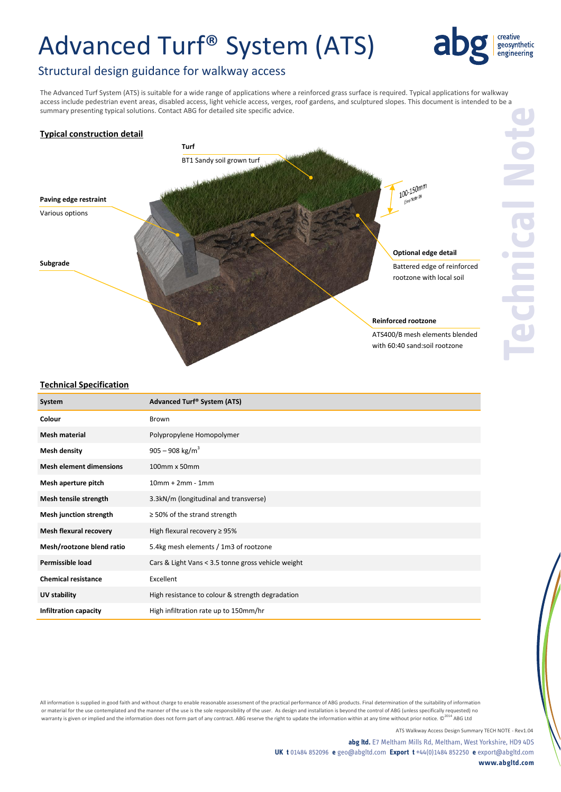## Advanced Turf® System (ATS)



### Structural design guidance for walkway access

The Advanced Turf System (ATS) is suitable for a wide range of applications where a reinforced grass surface is required. Typical applications for walkway access include pedestrian event areas, disabled access, light vehicle access, verges, roof gardens, and sculptured slopes. This document is intended to be a summary presenting typical solutions. Contact ABG for detailed site specific advice.

### **Typical construction detail Turf** BT1 Sandy soil grown turf  $\frac{100 - 150}{100 - \frac{150}{100}}$  $00 - 1$   $0<sup>o</sup>$   $(5e<sup>e</sup> Note<sup>0</sup>)$ **Paving edge restraint** Various options **Optional edge detail Subgrade**  Battered edge of reinforced rootzone with local soil **Reinforced rootzone** ATS400/B mesh elements blended with 60:40 sand:soil rootzone

#### **Technical Specification**

| System                         | Advanced Turf <sup>®</sup> System (ATS)            |
|--------------------------------|----------------------------------------------------|
| Colour                         | Brown                                              |
| <b>Mesh material</b>           | Polypropylene Homopolymer                          |
| <b>Mesh density</b>            | 905 – 908 kg/m <sup>3</sup>                        |
| <b>Mesh element dimensions</b> | 100mm x 50mm                                       |
| Mesh aperture pitch            | $10mm + 2mm - 1mm$                                 |
| Mesh tensile strength          | 3.3kN/m (longitudinal and transverse)              |
| <b>Mesh junction strength</b>  | $\geq$ 50% of the strand strength                  |
| <b>Mesh flexural recovery</b>  | High flexural recovery $\geq$ 95%                  |
| Mesh/rootzone blend ratio      | 5.4kg mesh elements / 1m3 of rootzone              |
| Permissible load               | Cars & Light Vans < 3.5 tonne gross vehicle weight |
| <b>Chemical resistance</b>     | Excellent                                          |
| UV stability                   | High resistance to colour & strength degradation   |
| Infiltration capacity          | High infiltration rate up to 150mm/hr              |

All information is supplied in good faith and without charge to enable reasonable assessment of the practical performance of ABG products. Final determination of the suitability of information or material for the use contemplated and the manner of the use is the sole responsibility of the user. As design and installation is beyond the control of ABG (unless specifically requested) no warranty is given or implied and the information does not form part of any contract. ABG reserve the right to update the information within at any time without prior notice. ©<sup>2014</sup> ABG Ltd

ATS Walkway Access Design Summary TECH NOTE - Rev1.04 **abg ltd.** E7 Meltham Mills Rd, Meltham, West Yorkshire, HD9 4DS **UK t** 01484 852096 **e** geo@abgltd.com **Export t** +44(0)1484 852250 **e** export@abgltd.com

**www.abgltd.com**